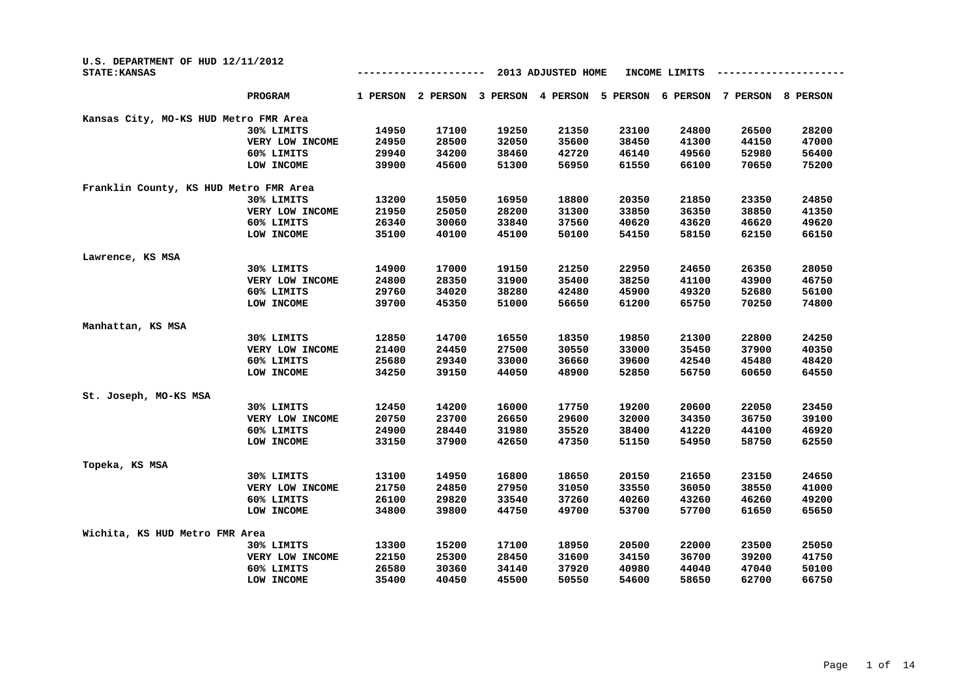| U.S. DEPARTMENT OF HUD 12/11/2012<br><b>STATE: KANSAS</b> |                 |          |          |          | 2013 ADJUSTED HOME |          | INCOME LIMITS |          |                 |
|-----------------------------------------------------------|-----------------|----------|----------|----------|--------------------|----------|---------------|----------|-----------------|
|                                                           | PROGRAM         | 1 PERSON | 2 PERSON | 3 PERSON | 4 PERSON           | 5 PERSON | 6 PERSON      | 7 PERSON | <b>8 PERSON</b> |
| Kansas City, MO-KS HUD Metro FMR Area                     |                 |          |          |          |                    |          |               |          |                 |
|                                                           | 30% LIMITS      | 14950    | 17100    | 19250    | 21350              | 23100    | 24800         | 26500    | 28200           |
|                                                           | VERY LOW INCOME | 24950    | 28500    | 32050    | 35600              | 38450    | 41300         | 44150    | 47000           |
|                                                           | 60% LIMITS      | 29940    | 34200    | 38460    | 42720              | 46140    | 49560         | 52980    | 56400           |
|                                                           | LOW INCOME      | 39900    | 45600    | 51300    | 56950              | 61550    | 66100         | 70650    | 75200           |
| Franklin County, KS HUD Metro FMR Area                    |                 |          |          |          |                    |          |               |          |                 |
|                                                           | 30% LIMITS      | 13200    | 15050    | 16950    | 18800              | 20350    | 21850         | 23350    | 24850           |
|                                                           | VERY LOW INCOME | 21950    | 25050    | 28200    | 31300              | 33850    | 36350         | 38850    | 41350           |
|                                                           | 60% LIMITS      | 26340    | 30060    | 33840    | 37560              | 40620    | 43620         | 46620    | 49620           |
|                                                           | LOW INCOME      | 35100    | 40100    | 45100    | 50100              | 54150    | 58150         | 62150    | 66150           |
| Lawrence, KS MSA                                          |                 |          |          |          |                    |          |               |          |                 |
|                                                           | 30% LIMITS      | 14900    | 17000    | 19150    | 21250              | 22950    | 24650         | 26350    | 28050           |
|                                                           | VERY LOW INCOME | 24800    | 28350    | 31900    | 35400              | 38250    | 41100         | 43900    | 46750           |
|                                                           | 60% LIMITS      | 29760    | 34020    | 38280    | 42480              | 45900    | 49320         | 52680    | 56100           |
|                                                           | LOW INCOME      | 39700    | 45350    | 51000    | 56650              | 61200    | 65750         | 70250    | 74800           |
| Manhattan, KS MSA                                         |                 |          |          |          |                    |          |               |          |                 |
|                                                           | 30% LIMITS      | 12850    | 14700    | 16550    | 18350              | 19850    | 21300         | 22800    | 24250           |
|                                                           | VERY LOW INCOME | 21400    | 24450    | 27500    | 30550              | 33000    | 35450         | 37900    | 40350           |
|                                                           | 60% LIMITS      | 25680    | 29340    | 33000    | 36660              | 39600    | 42540         | 45480    | 48420           |
|                                                           | LOW INCOME      | 34250    | 39150    | 44050    | 48900              | 52850    | 56750         | 60650    | 64550           |
| St. Joseph, MO-KS MSA                                     |                 |          |          |          |                    |          |               |          |                 |
|                                                           | 30% LIMITS      | 12450    | 14200    | 16000    | 17750              | 19200    | 20600         | 22050    | 23450           |
|                                                           | VERY LOW INCOME | 20750    | 23700    | 26650    | 29600              | 32000    | 34350         | 36750    | 39100           |
|                                                           | 60% LIMITS      | 24900    | 28440    | 31980    | 35520              | 38400    | 41220         | 44100    | 46920           |
|                                                           | LOW INCOME      | 33150    | 37900    | 42650    | 47350              | 51150    | 54950         | 58750    | 62550           |
| Topeka, KS MSA                                            |                 |          |          |          |                    |          |               |          |                 |
|                                                           | 30% LIMITS      | 13100    | 14950    | 16800    | 18650              | 20150    | 21650         | 23150    | 24650           |
|                                                           | VERY LOW INCOME | 21750    | 24850    | 27950    | 31050              | 33550    | 36050         | 38550    | 41000           |
|                                                           | 60% LIMITS      | 26100    | 29820    | 33540    | 37260              | 40260    | 43260         | 46260    | 49200           |
|                                                           | LOW INCOME      | 34800    | 39800    | 44750    | 49700              | 53700    | 57700         | 61650    | 65650           |
| Wichita, KS HUD Metro FMR Area                            |                 |          |          |          |                    |          |               |          |                 |
|                                                           | 30% LIMITS      | 13300    | 15200    | 17100    | 18950              | 20500    | 22000         | 23500    | 25050           |
|                                                           | VERY LOW INCOME | 22150    | 25300    | 28450    | 31600              | 34150    | 36700         | 39200    | 41750           |
|                                                           | 60% LIMITS      | 26580    | 30360    | 34140    | 37920              | 40980    | 44040         | 47040    | 50100           |
|                                                           | LOW INCOME      | 35400    | 40450    | 45500    | 50550              | 54600    | 58650         | 62700    | 66750           |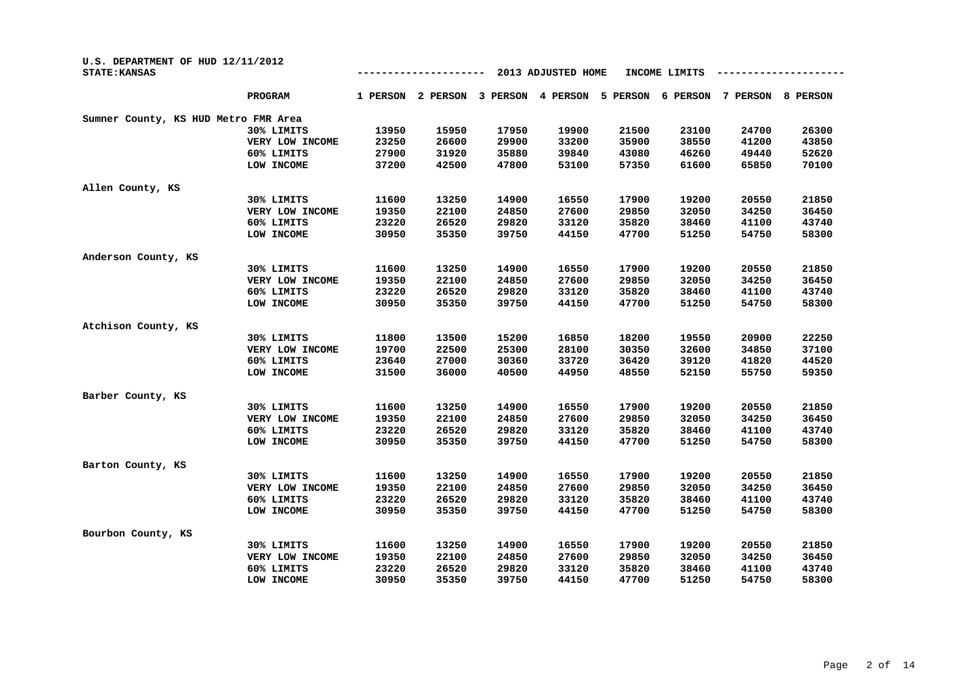| U.S. DEPARTMENT OF HUD 12/11/2012<br><b>STATE: KANSAS</b> |                 |          |          |          | 2013 ADJUSTED HOME |          | INCOME LIMITS |          |          |
|-----------------------------------------------------------|-----------------|----------|----------|----------|--------------------|----------|---------------|----------|----------|
|                                                           | <b>PROGRAM</b>  | 1 PERSON | 2 PERSON | 3 PERSON | 4 PERSON           | 5 PERSON | 6 PERSON      | 7 PERSON | 8 PERSON |
| Sumner County, KS HUD Metro FMR Area                      |                 |          |          |          |                    |          |               |          |          |
|                                                           | 30% LIMITS      | 13950    | 15950    | 17950    | 19900              | 21500    | 23100         | 24700    | 26300    |
|                                                           | VERY LOW INCOME | 23250    | 26600    | 29900    | 33200              | 35900    | 38550         | 41200    | 43850    |
|                                                           | 60% LIMITS      | 27900    | 31920    | 35880    | 39840              | 43080    | 46260         | 49440    | 52620    |
|                                                           | LOW INCOME      | 37200    | 42500    | 47800    | 53100              | 57350    | 61600         | 65850    | 70100    |
| Allen County, KS                                          |                 |          |          |          |                    |          |               |          |          |
|                                                           | 30% LIMITS      | 11600    | 13250    | 14900    | 16550              | 17900    | 19200         | 20550    | 21850    |
|                                                           | VERY LOW INCOME | 19350    | 22100    | 24850    | 27600              | 29850    | 32050         | 34250    | 36450    |
|                                                           | 60% LIMITS      | 23220    | 26520    | 29820    | 33120              | 35820    | 38460         | 41100    | 43740    |
|                                                           | LOW INCOME      | 30950    | 35350    | 39750    | 44150              | 47700    | 51250         | 54750    | 58300    |
| Anderson County, KS                                       |                 |          |          |          |                    |          |               |          |          |
|                                                           | 30% LIMITS      | 11600    | 13250    | 14900    | 16550              | 17900    | 19200         | 20550    | 21850    |
|                                                           | VERY LOW INCOME | 19350    | 22100    | 24850    | 27600              | 29850    | 32050         | 34250    | 36450    |
|                                                           | 60% LIMITS      | 23220    | 26520    | 29820    | 33120              | 35820    | 38460         | 41100    | 43740    |
|                                                           | LOW INCOME      | 30950    | 35350    | 39750    | 44150              | 47700    | 51250         | 54750    | 58300    |
| Atchison County, KS                                       |                 |          |          |          |                    |          |               |          |          |
|                                                           | 30% LIMITS      | 11800    | 13500    | 15200    | 16850              | 18200    | 19550         | 20900    | 22250    |
|                                                           | VERY LOW INCOME | 19700    | 22500    | 25300    | 28100              | 30350    | 32600         | 34850    | 37100    |
|                                                           | 60% LIMITS      | 23640    | 27000    | 30360    | 33720              | 36420    | 39120         | 41820    | 44520    |
|                                                           | LOW INCOME      | 31500    | 36000    | 40500    | 44950              | 48550    | 52150         | 55750    | 59350    |
| Barber County, KS                                         |                 |          |          |          |                    |          |               |          |          |
|                                                           | 30% LIMITS      | 11600    | 13250    | 14900    | 16550              | 17900    | 19200         | 20550    | 21850    |
|                                                           | VERY LOW INCOME | 19350    | 22100    | 24850    | 27600              | 29850    | 32050         | 34250    | 36450    |
|                                                           | 60% LIMITS      | 23220    | 26520    | 29820    | 33120              | 35820    | 38460         | 41100    | 43740    |
|                                                           | LOW INCOME      | 30950    | 35350    | 39750    | 44150              | 47700    | 51250         | 54750    | 58300    |
| Barton County, KS                                         |                 |          |          |          |                    |          |               |          |          |
|                                                           | 30% LIMITS      | 11600    | 13250    | 14900    | 16550              | 17900    | 19200         | 20550    | 21850    |
|                                                           | VERY LOW INCOME | 19350    | 22100    | 24850    | 27600              | 29850    | 32050         | 34250    | 36450    |
|                                                           | 60% LIMITS      | 23220    | 26520    | 29820    | 33120              | 35820    | 38460         | 41100    | 43740    |
|                                                           | LOW INCOME      | 30950    | 35350    | 39750    | 44150              | 47700    | 51250         | 54750    | 58300    |
| Bourbon County, KS                                        |                 |          |          |          |                    |          |               |          |          |
|                                                           | 30% LIMITS      | 11600    | 13250    | 14900    | 16550              | 17900    | 19200         | 20550    | 21850    |
|                                                           | VERY LOW INCOME | 19350    | 22100    | 24850    | 27600              | 29850    | 32050         | 34250    | 36450    |
|                                                           | 60% LIMITS      | 23220    | 26520    | 29820    | 33120              | 35820    | 38460         | 41100    | 43740    |
|                                                           | LOW INCOME      | 30950    | 35350    | 39750    | 44150              | 47700    | 51250         | 54750    | 58300    |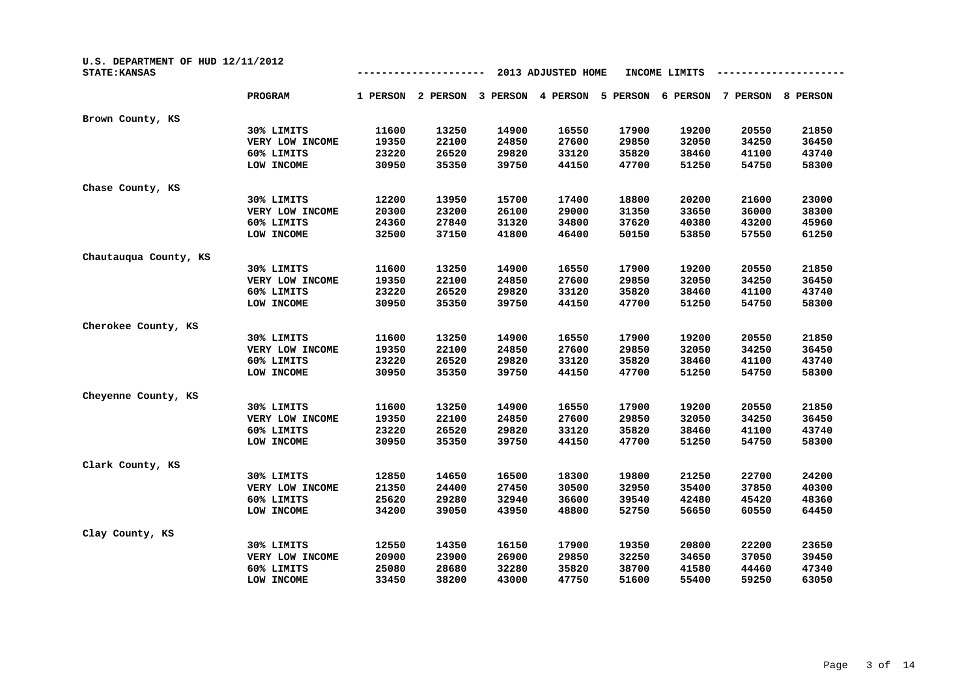| U.S. DEPARTMENT OF HUD 12/11/2012<br><b>STATE: KANSAS</b> |                 |          |          | INCOME LIMITS |          |          |          |          |          |
|-----------------------------------------------------------|-----------------|----------|----------|---------------|----------|----------|----------|----------|----------|
|                                                           | PROGRAM         | 1 PERSON | 2 PERSON | 3 PERSON      | 4 PERSON | 5 PERSON | 6 PERSON | 7 PERSON | 8 PERSON |
| Brown County, KS                                          |                 |          |          |               |          |          |          |          |          |
|                                                           | 30% LIMITS      | 11600    | 13250    | 14900         | 16550    | 17900    | 19200    | 20550    | 21850    |
|                                                           | VERY LOW INCOME | 19350    | 22100    | 24850         | 27600    | 29850    | 32050    | 34250    | 36450    |
|                                                           | 60% LIMITS      | 23220    | 26520    | 29820         | 33120    | 35820    | 38460    | 41100    | 43740    |
|                                                           | LOW INCOME      | 30950    | 35350    | 39750         | 44150    | 47700    | 51250    | 54750    | 58300    |
| Chase County, KS                                          |                 |          |          |               |          |          |          |          |          |
|                                                           | 30% LIMITS      | 12200    | 13950    | 15700         | 17400    | 18800    | 20200    | 21600    | 23000    |
|                                                           | VERY LOW INCOME | 20300    | 23200    | 26100         | 29000    | 31350    | 33650    | 36000    | 38300    |
|                                                           | 60% LIMITS      | 24360    | 27840    | 31320         | 34800    | 37620    | 40380    | 43200    | 45960    |
|                                                           | LOW INCOME      | 32500    | 37150    | 41800         | 46400    | 50150    | 53850    | 57550    | 61250    |
| Chautauqua County, KS                                     |                 |          |          |               |          |          |          |          |          |
|                                                           | 30% LIMITS      | 11600    | 13250    | 14900         | 16550    | 17900    | 19200    | 20550    | 21850    |
|                                                           | VERY LOW INCOME | 19350    | 22100    | 24850         | 27600    | 29850    | 32050    | 34250    | 36450    |
|                                                           | 60% LIMITS      | 23220    | 26520    | 29820         | 33120    | 35820    | 38460    | 41100    | 43740    |
|                                                           | LOW INCOME      | 30950    | 35350    | 39750         | 44150    | 47700    | 51250    | 54750    | 58300    |
| Cherokee County, KS                                       |                 |          |          |               |          |          |          |          |          |
|                                                           | 30% LIMITS      | 11600    | 13250    | 14900         | 16550    | 17900    | 19200    | 20550    | 21850    |
|                                                           | VERY LOW INCOME | 19350    | 22100    | 24850         | 27600    | 29850    | 32050    | 34250    | 36450    |
|                                                           | 60% LIMITS      | 23220    | 26520    | 29820         | 33120    | 35820    | 38460    | 41100    | 43740    |
|                                                           | LOW INCOME      | 30950    | 35350    | 39750         | 44150    | 47700    | 51250    | 54750    | 58300    |
| Cheyenne County, KS                                       |                 |          |          |               |          |          |          |          |          |
|                                                           | 30% LIMITS      | 11600    | 13250    | 14900         | 16550    | 17900    | 19200    | 20550    | 21850    |
|                                                           | VERY LOW INCOME | 19350    | 22100    | 24850         | 27600    | 29850    | 32050    | 34250    | 36450    |
|                                                           | 60% LIMITS      | 23220    | 26520    | 29820         | 33120    | 35820    | 38460    | 41100    | 43740    |
|                                                           | LOW INCOME      | 30950    | 35350    | 39750         | 44150    | 47700    | 51250    | 54750    | 58300    |
| Clark County, KS                                          |                 |          |          |               |          |          |          |          |          |
|                                                           | 30% LIMITS      | 12850    | 14650    | 16500         | 18300    | 19800    | 21250    | 22700    | 24200    |
|                                                           | VERY LOW INCOME | 21350    | 24400    | 27450         | 30500    | 32950    | 35400    | 37850    | 40300    |
|                                                           | 60% LIMITS      | 25620    | 29280    | 32940         | 36600    | 39540    | 42480    | 45420    | 48360    |
|                                                           | LOW INCOME      | 34200    | 39050    | 43950         | 48800    | 52750    | 56650    | 60550    | 64450    |
| Clay County, KS                                           |                 |          |          |               |          |          |          |          |          |
|                                                           | 30% LIMITS      | 12550    | 14350    | 16150         | 17900    | 19350    | 20800    | 22200    | 23650    |
|                                                           | VERY LOW INCOME | 20900    | 23900    | 26900         | 29850    | 32250    | 34650    | 37050    | 39450    |
|                                                           | 60% LIMITS      | 25080    | 28680    | 32280         | 35820    | 38700    | 41580    | 44460    | 47340    |
|                                                           | LOW INCOME      | 33450    | 38200    | 43000         | 47750    | 51600    | 55400    | 59250    | 63050    |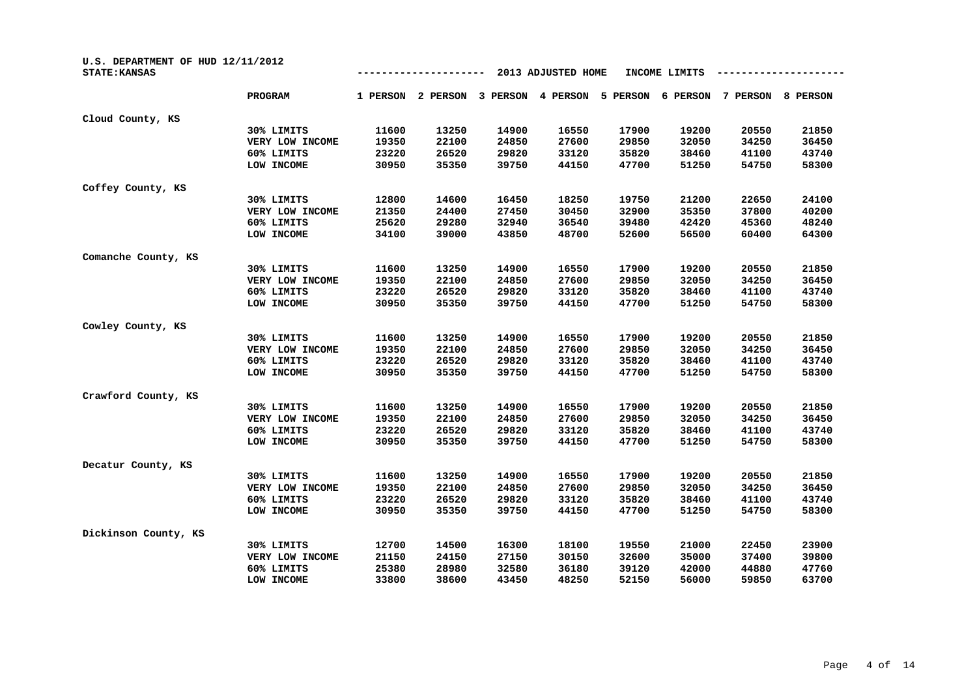| U.S. DEPARTMENT OF HUD 12/11/2012<br><b>STATE: KANSAS</b> |                 |          |          |          |          |          |          |          |          |
|-----------------------------------------------------------|-----------------|----------|----------|----------|----------|----------|----------|----------|----------|
|                                                           | <b>PROGRAM</b>  | 1 PERSON | 2 PERSON | 3 PERSON | 4 PERSON | 5 PERSON | 6 PERSON | 7 PERSON | 8 PERSON |
| Cloud County, KS                                          |                 |          |          |          |          |          |          |          |          |
|                                                           | 30% LIMITS      | 11600    | 13250    | 14900    | 16550    | 17900    | 19200    | 20550    | 21850    |
|                                                           | VERY LOW INCOME | 19350    | 22100    | 24850    | 27600    | 29850    | 32050    | 34250    | 36450    |
|                                                           | 60% LIMITS      | 23220    | 26520    | 29820    | 33120    | 35820    | 38460    | 41100    | 43740    |
|                                                           | LOW INCOME      | 30950    | 35350    | 39750    | 44150    | 47700    | 51250    | 54750    | 58300    |
| Coffey County, KS                                         |                 |          |          |          |          |          |          |          |          |
|                                                           | 30% LIMITS      | 12800    | 14600    | 16450    | 18250    | 19750    | 21200    | 22650    | 24100    |
|                                                           | VERY LOW INCOME | 21350    | 24400    | 27450    | 30450    | 32900    | 35350    | 37800    | 40200    |
|                                                           | 60% LIMITS      | 25620    | 29280    | 32940    | 36540    | 39480    | 42420    | 45360    | 48240    |
|                                                           | LOW INCOME      | 34100    | 39000    | 43850    | 48700    | 52600    | 56500    | 60400    | 64300    |
| Comanche County, KS                                       |                 |          |          |          |          |          |          |          |          |
|                                                           | 30% LIMITS      | 11600    | 13250    | 14900    | 16550    | 17900    | 19200    | 20550    | 21850    |
|                                                           | VERY LOW INCOME | 19350    | 22100    | 24850    | 27600    | 29850    | 32050    | 34250    | 36450    |
|                                                           | 60% LIMITS      | 23220    | 26520    | 29820    | 33120    | 35820    | 38460    | 41100    | 43740    |
|                                                           | LOW INCOME      | 30950    | 35350    | 39750    | 44150    | 47700    | 51250    | 54750    | 58300    |
| Cowley County, KS                                         |                 |          |          |          |          |          |          |          |          |
|                                                           | 30% LIMITS      | 11600    | 13250    | 14900    | 16550    | 17900    | 19200    | 20550    | 21850    |
|                                                           | VERY LOW INCOME | 19350    | 22100    | 24850    | 27600    | 29850    | 32050    | 34250    | 36450    |
|                                                           | 60% LIMITS      | 23220    | 26520    | 29820    | 33120    | 35820    | 38460    | 41100    | 43740    |
|                                                           | LOW INCOME      | 30950    | 35350    | 39750    | 44150    | 47700    | 51250    | 54750    | 58300    |
| Crawford County, KS                                       |                 |          |          |          |          |          |          |          |          |
|                                                           | 30% LIMITS      | 11600    | 13250    | 14900    | 16550    | 17900    | 19200    | 20550    | 21850    |
|                                                           | VERY LOW INCOME | 19350    | 22100    | 24850    | 27600    | 29850    | 32050    | 34250    | 36450    |
|                                                           | 60% LIMITS      | 23220    | 26520    | 29820    | 33120    | 35820    | 38460    | 41100    | 43740    |
|                                                           | LOW INCOME      | 30950    | 35350    | 39750    | 44150    | 47700    | 51250    | 54750    | 58300    |
| Decatur County, KS                                        |                 |          |          |          |          |          |          |          |          |
|                                                           | 30% LIMITS      | 11600    | 13250    | 14900    | 16550    | 17900    | 19200    | 20550    | 21850    |
|                                                           | VERY LOW INCOME | 19350    | 22100    | 24850    | 27600    | 29850    | 32050    | 34250    | 36450    |
|                                                           | 60% LIMITS      | 23220    | 26520    | 29820    | 33120    | 35820    | 38460    | 41100    | 43740    |
|                                                           | LOW INCOME      | 30950    | 35350    | 39750    | 44150    | 47700    | 51250    | 54750    | 58300    |
| Dickinson County, KS                                      |                 |          |          |          |          |          |          |          |          |
|                                                           | 30% LIMITS      | 12700    | 14500    | 16300    | 18100    | 19550    | 21000    | 22450    | 23900    |
|                                                           | VERY LOW INCOME | 21150    | 24150    | 27150    | 30150    | 32600    | 35000    | 37400    | 39800    |
|                                                           | 60% LIMITS      | 25380    | 28980    | 32580    | 36180    | 39120    | 42000    | 44880    | 47760    |
|                                                           | LOW INCOME      | 33800    | 38600    | 43450    | 48250    | 52150    | 56000    | 59850    | 63700    |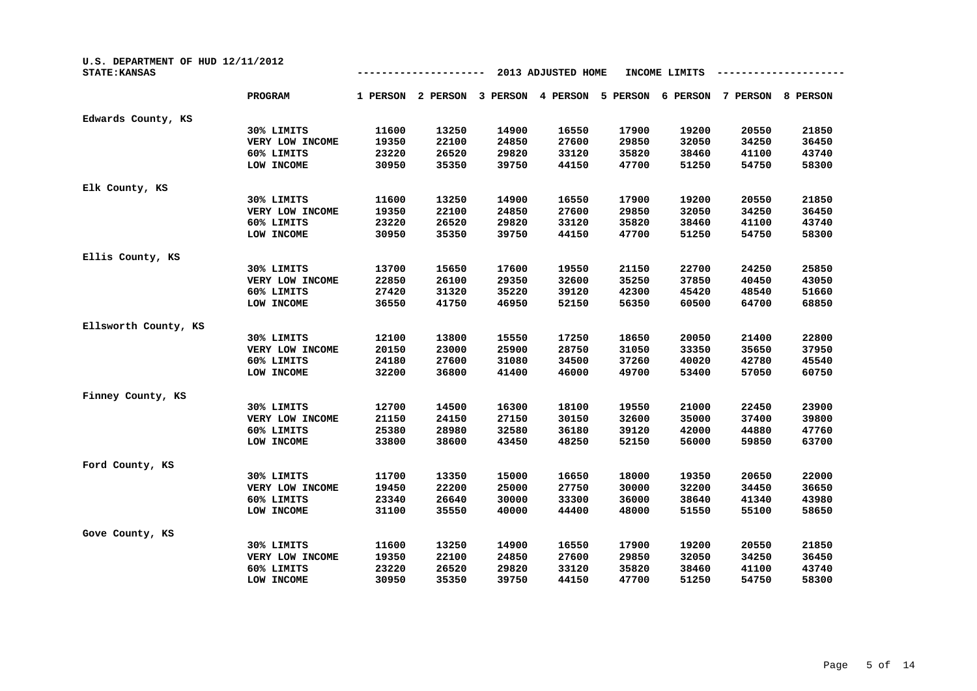| U.S. DEPARTMENT OF HUD 12/11/2012<br><b>STATE: KANSAS</b> |                 |          |          |          | 2013 ADJUSTED HOME |          | INCOME LIMITS |          |          |
|-----------------------------------------------------------|-----------------|----------|----------|----------|--------------------|----------|---------------|----------|----------|
|                                                           | <b>PROGRAM</b>  | 1 PERSON | 2 PERSON | 3 PERSON | 4 PERSON           | 5 PERSON | 6 PERSON      | 7 PERSON | 8 PERSON |
| Edwards County, KS                                        |                 |          |          |          |                    |          |               |          |          |
|                                                           | 30% LIMITS      | 11600    | 13250    | 14900    | 16550              | 17900    | 19200         | 20550    | 21850    |
|                                                           | VERY LOW INCOME | 19350    | 22100    | 24850    | 27600              | 29850    | 32050         | 34250    | 36450    |
|                                                           | 60% LIMITS      | 23220    | 26520    | 29820    | 33120              | 35820    | 38460         | 41100    | 43740    |
|                                                           | LOW INCOME      | 30950    | 35350    | 39750    | 44150              | 47700    | 51250         | 54750    | 58300    |
| Elk County, KS                                            |                 |          |          |          |                    |          |               |          |          |
|                                                           | 30% LIMITS      | 11600    | 13250    | 14900    | 16550              | 17900    | 19200         | 20550    | 21850    |
|                                                           | VERY LOW INCOME | 19350    | 22100    | 24850    | 27600              | 29850    | 32050         | 34250    | 36450    |
|                                                           | 60% LIMITS      | 23220    | 26520    | 29820    | 33120              | 35820    | 38460         | 41100    | 43740    |
|                                                           | LOW INCOME      | 30950    | 35350    | 39750    | 44150              | 47700    | 51250         | 54750    | 58300    |
| Ellis County, KS                                          |                 |          |          |          |                    |          |               |          |          |
|                                                           | 30% LIMITS      | 13700    | 15650    | 17600    | 19550              | 21150    | 22700         | 24250    | 25850    |
|                                                           | VERY LOW INCOME | 22850    | 26100    | 29350    | 32600              | 35250    | 37850         | 40450    | 43050    |
|                                                           | 60% LIMITS      | 27420    | 31320    | 35220    | 39120              | 42300    | 45420         | 48540    | 51660    |
|                                                           | LOW INCOME      | 36550    | 41750    | 46950    | 52150              | 56350    | 60500         | 64700    | 68850    |
| Ellsworth County, KS                                      |                 |          |          |          |                    |          |               |          |          |
|                                                           | 30% LIMITS      | 12100    | 13800    | 15550    | 17250              | 18650    | 20050         | 21400    | 22800    |
|                                                           | VERY LOW INCOME | 20150    | 23000    | 25900    | 28750              | 31050    | 33350         | 35650    | 37950    |
|                                                           | 60% LIMITS      | 24180    | 27600    | 31080    | 34500              | 37260    | 40020         | 42780    | 45540    |
|                                                           | LOW INCOME      | 32200    | 36800    | 41400    | 46000              | 49700    | 53400         | 57050    | 60750    |
| Finney County, KS                                         |                 |          |          |          |                    |          |               |          |          |
|                                                           | 30% LIMITS      | 12700    | 14500    | 16300    | 18100              | 19550    | 21000         | 22450    | 23900    |
|                                                           | VERY LOW INCOME | 21150    | 24150    | 27150    | 30150              | 32600    | 35000         | 37400    | 39800    |
|                                                           | 60% LIMITS      | 25380    | 28980    | 32580    | 36180              | 39120    | 42000         | 44880    | 47760    |
|                                                           | LOW INCOME      | 33800    | 38600    | 43450    | 48250              | 52150    | 56000         | 59850    | 63700    |
| Ford County, KS                                           |                 |          |          |          |                    |          |               |          |          |
|                                                           | 30% LIMITS      | 11700    | 13350    | 15000    | 16650              | 18000    | 19350         | 20650    | 22000    |
|                                                           | VERY LOW INCOME | 19450    | 22200    | 25000    | 27750              | 30000    | 32200         | 34450    | 36650    |
|                                                           | 60% LIMITS      | 23340    | 26640    | 30000    | 33300              | 36000    | 38640         | 41340    | 43980    |
|                                                           | LOW INCOME      | 31100    | 35550    | 40000    | 44400              | 48000    | 51550         | 55100    | 58650    |
| Gove County, KS                                           |                 |          |          |          |                    |          |               |          |          |
|                                                           | 30% LIMITS      | 11600    | 13250    | 14900    | 16550              | 17900    | 19200         | 20550    | 21850    |
|                                                           | VERY LOW INCOME | 19350    | 22100    | 24850    | 27600              | 29850    | 32050         | 34250    | 36450    |
|                                                           | 60% LIMITS      | 23220    | 26520    | 29820    | 33120              | 35820    | 38460         | 41100    | 43740    |
|                                                           | LOW INCOME      | 30950    | 35350    | 39750    | 44150              | 47700    | 51250         | 54750    | 58300    |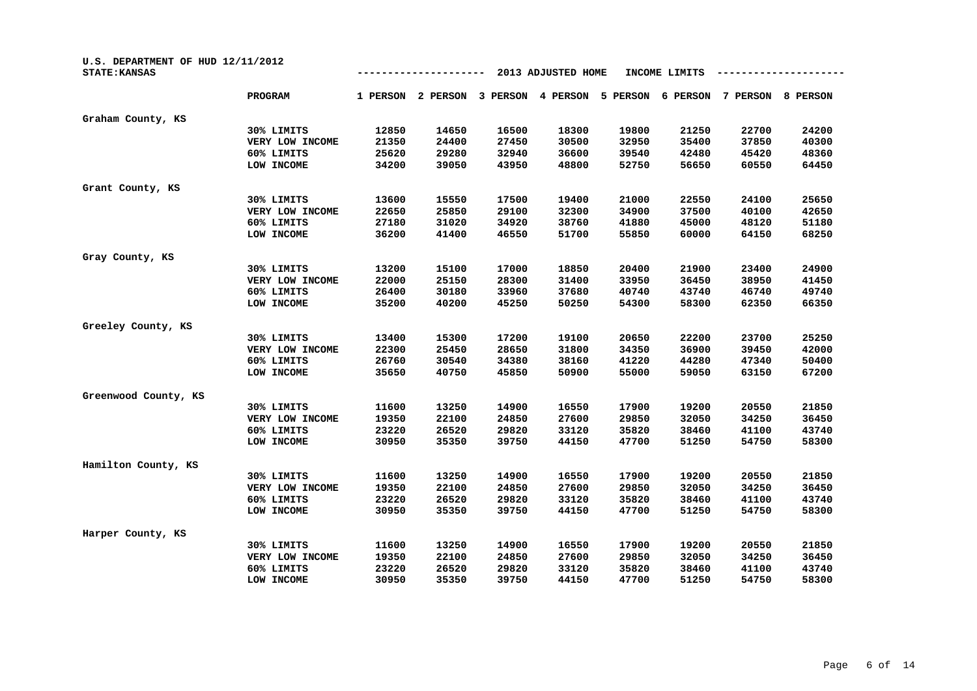| U.S. DEPARTMENT OF HUD 12/11/2012<br><b>STATE: KANSAS</b> |                 | 2013 ADJUSTED HOME<br>INCOME LIMITS |          |          |          |          |          |          |          |
|-----------------------------------------------------------|-----------------|-------------------------------------|----------|----------|----------|----------|----------|----------|----------|
|                                                           | <b>PROGRAM</b>  | 1 PERSON                            | 2 PERSON | 3 PERSON | 4 PERSON | 5 PERSON | 6 PERSON | 7 PERSON | 8 PERSON |
| Graham County, KS                                         |                 |                                     |          |          |          |          |          |          |          |
|                                                           | 30% LIMITS      | 12850                               | 14650    | 16500    | 18300    | 19800    | 21250    | 22700    | 24200    |
|                                                           | VERY LOW INCOME | 21350                               | 24400    | 27450    | 30500    | 32950    | 35400    | 37850    | 40300    |
|                                                           | 60% LIMITS      | 25620                               | 29280    | 32940    | 36600    | 39540    | 42480    | 45420    | 48360    |
|                                                           | LOW INCOME      | 34200                               | 39050    | 43950    | 48800    | 52750    | 56650    | 60550    | 64450    |
| Grant County, KS                                          |                 |                                     |          |          |          |          |          |          |          |
|                                                           | 30% LIMITS      | 13600                               | 15550    | 17500    | 19400    | 21000    | 22550    | 24100    | 25650    |
|                                                           | VERY LOW INCOME | 22650                               | 25850    | 29100    | 32300    | 34900    | 37500    | 40100    | 42650    |
|                                                           | 60% LIMITS      | 27180                               | 31020    | 34920    | 38760    | 41880    | 45000    | 48120    | 51180    |
|                                                           | LOW INCOME      | 36200                               | 41400    | 46550    | 51700    | 55850    | 60000    | 64150    | 68250    |
| Gray County, KS                                           |                 |                                     |          |          |          |          |          |          |          |
|                                                           | 30% LIMITS      | 13200                               | 15100    | 17000    | 18850    | 20400    | 21900    | 23400    | 24900    |
|                                                           | VERY LOW INCOME | 22000                               | 25150    | 28300    | 31400    | 33950    | 36450    | 38950    | 41450    |
|                                                           | 60% LIMITS      | 26400                               | 30180    | 33960    | 37680    | 40740    | 43740    | 46740    | 49740    |
|                                                           | LOW INCOME      | 35200                               | 40200    | 45250    | 50250    | 54300    | 58300    | 62350    | 66350    |
| Greeley County, KS                                        |                 |                                     |          |          |          |          |          |          |          |
|                                                           | 30% LIMITS      | 13400                               | 15300    | 17200    | 19100    | 20650    | 22200    | 23700    | 25250    |
|                                                           | VERY LOW INCOME | 22300                               | 25450    | 28650    | 31800    | 34350    | 36900    | 39450    | 42000    |
|                                                           | 60% LIMITS      | 26760                               | 30540    | 34380    | 38160    | 41220    | 44280    | 47340    | 50400    |
|                                                           | LOW INCOME      | 35650                               | 40750    | 45850    | 50900    | 55000    | 59050    | 63150    | 67200    |
| Greenwood County, KS                                      |                 |                                     |          |          |          |          |          |          |          |
|                                                           | 30% LIMITS      | 11600                               | 13250    | 14900    | 16550    | 17900    | 19200    | 20550    | 21850    |
|                                                           | VERY LOW INCOME | 19350                               | 22100    | 24850    | 27600    | 29850    | 32050    | 34250    | 36450    |
|                                                           | 60% LIMITS      | 23220                               | 26520    | 29820    | 33120    | 35820    | 38460    | 41100    | 43740    |
|                                                           | LOW INCOME      | 30950                               | 35350    | 39750    | 44150    | 47700    | 51250    | 54750    | 58300    |
| Hamilton County, KS                                       |                 |                                     |          |          |          |          |          |          |          |
|                                                           | 30% LIMITS      | 11600                               | 13250    | 14900    | 16550    | 17900    | 19200    | 20550    | 21850    |
|                                                           | VERY LOW INCOME | 19350                               | 22100    | 24850    | 27600    | 29850    | 32050    | 34250    | 36450    |
|                                                           | 60% LIMITS      | 23220                               | 26520    | 29820    | 33120    | 35820    | 38460    | 41100    | 43740    |
|                                                           | LOW INCOME      | 30950                               | 35350    | 39750    | 44150    | 47700    | 51250    | 54750    | 58300    |
| Harper County, KS                                         |                 |                                     |          |          |          |          |          |          |          |
|                                                           | 30% LIMITS      | 11600                               | 13250    | 14900    | 16550    | 17900    | 19200    | 20550    | 21850    |
|                                                           | VERY LOW INCOME | 19350                               | 22100    | 24850    | 27600    | 29850    | 32050    | 34250    | 36450    |
|                                                           | 60% LIMITS      | 23220                               | 26520    | 29820    | 33120    | 35820    | 38460    | 41100    | 43740    |
|                                                           | LOW INCOME      | 30950                               | 35350    | 39750    | 44150    | 47700    | 51250    | 54750    | 58300    |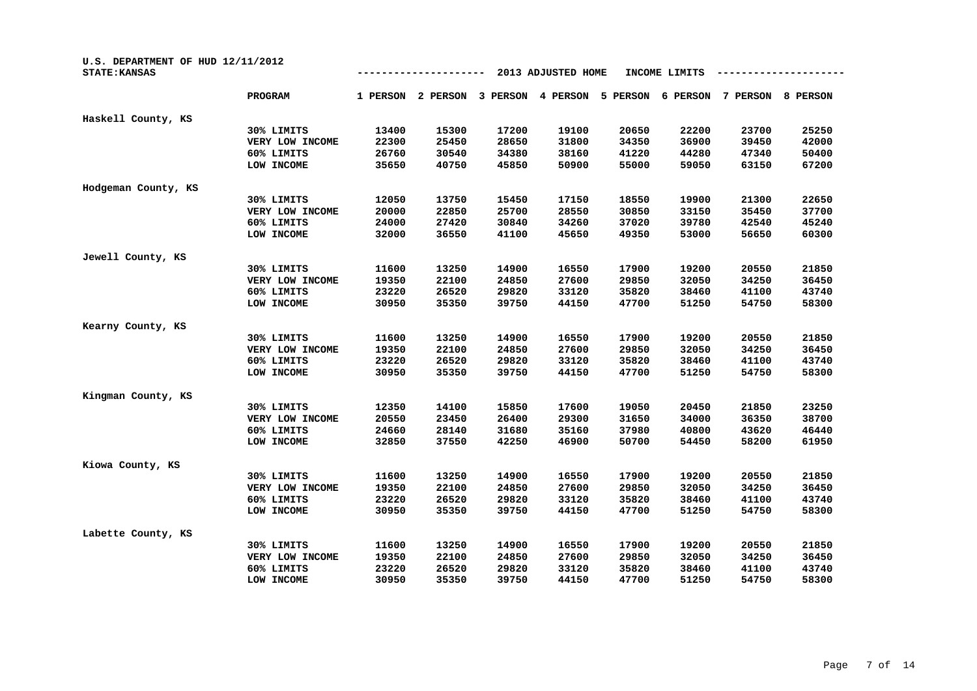| U.S. DEPARTMENT OF HUD 12/11/2012<br><b>STATE: KANSAS</b> |                 |          |          |          | 2013 ADJUSTED HOME |          | INCOME LIMITS |          |          |
|-----------------------------------------------------------|-----------------|----------|----------|----------|--------------------|----------|---------------|----------|----------|
|                                                           | <b>PROGRAM</b>  | 1 PERSON | 2 PERSON | 3 PERSON | 4 PERSON           | 5 PERSON | 6 PERSON      | 7 PERSON | 8 PERSON |
| Haskell County, KS                                        |                 |          |          |          |                    |          |               |          |          |
|                                                           | 30% LIMITS      | 13400    | 15300    | 17200    | 19100              | 20650    | 22200         | 23700    | 25250    |
|                                                           | VERY LOW INCOME | 22300    | 25450    | 28650    | 31800              | 34350    | 36900         | 39450    | 42000    |
|                                                           | 60% LIMITS      | 26760    | 30540    | 34380    | 38160              | 41220    | 44280         | 47340    | 50400    |
|                                                           | LOW INCOME      | 35650    | 40750    | 45850    | 50900              | 55000    | 59050         | 63150    | 67200    |
| Hodgeman County, KS                                       |                 |          |          |          |                    |          |               |          |          |
|                                                           | 30% LIMITS      | 12050    | 13750    | 15450    | 17150              | 18550    | 19900         | 21300    | 22650    |
|                                                           | VERY LOW INCOME | 20000    | 22850    | 25700    | 28550              | 30850    | 33150         | 35450    | 37700    |
|                                                           | 60% LIMITS      | 24000    | 27420    | 30840    | 34260              | 37020    | 39780         | 42540    | 45240    |
|                                                           | LOW INCOME      | 32000    | 36550    | 41100    | 45650              | 49350    | 53000         | 56650    | 60300    |
| Jewell County, KS                                         |                 |          |          |          |                    |          |               |          |          |
|                                                           | 30% LIMITS      | 11600    | 13250    | 14900    | 16550              | 17900    | 19200         | 20550    | 21850    |
|                                                           | VERY LOW INCOME | 19350    | 22100    | 24850    | 27600              | 29850    | 32050         | 34250    | 36450    |
|                                                           | 60% LIMITS      | 23220    | 26520    | 29820    | 33120              | 35820    | 38460         | 41100    | 43740    |
|                                                           | LOW INCOME      | 30950    | 35350    | 39750    | 44150              | 47700    | 51250         | 54750    | 58300    |
| Kearny County, KS                                         |                 |          |          |          |                    |          |               |          |          |
|                                                           | 30% LIMITS      | 11600    | 13250    | 14900    | 16550              | 17900    | 19200         | 20550    | 21850    |
|                                                           | VERY LOW INCOME | 19350    | 22100    | 24850    | 27600              | 29850    | 32050         | 34250    | 36450    |
|                                                           | 60% LIMITS      | 23220    | 26520    | 29820    | 33120              | 35820    | 38460         | 41100    | 43740    |
|                                                           | LOW INCOME      | 30950    | 35350    | 39750    | 44150              | 47700    | 51250         | 54750    | 58300    |
| Kingman County, KS                                        |                 |          |          |          |                    |          |               |          |          |
|                                                           | 30% LIMITS      | 12350    | 14100    | 15850    | 17600              | 19050    | 20450         | 21850    | 23250    |
|                                                           | VERY LOW INCOME | 20550    | 23450    | 26400    | 29300              | 31650    | 34000         | 36350    | 38700    |
|                                                           | 60% LIMITS      | 24660    | 28140    | 31680    | 35160              | 37980    | 40800         | 43620    | 46440    |
|                                                           | LOW INCOME      | 32850    | 37550    | 42250    | 46900              | 50700    | 54450         | 58200    | 61950    |
| Kiowa County, KS                                          |                 |          |          |          |                    |          |               |          |          |
|                                                           | 30% LIMITS      | 11600    | 13250    | 14900    | 16550              | 17900    | 19200         | 20550    | 21850    |
|                                                           | VERY LOW INCOME | 19350    | 22100    | 24850    | 27600              | 29850    | 32050         | 34250    | 36450    |
|                                                           | 60% LIMITS      | 23220    | 26520    | 29820    | 33120              | 35820    | 38460         | 41100    | 43740    |
|                                                           | LOW INCOME      | 30950    | 35350    | 39750    | 44150              | 47700    | 51250         | 54750    | 58300    |
| Labette County, KS                                        |                 |          |          |          |                    |          |               |          |          |
|                                                           | 30% LIMITS      | 11600    | 13250    | 14900    | 16550              | 17900    | 19200         | 20550    | 21850    |
|                                                           | VERY LOW INCOME | 19350    | 22100    | 24850    | 27600              | 29850    | 32050         | 34250    | 36450    |
|                                                           | 60% LIMITS      | 23220    | 26520    | 29820    | 33120              | 35820    | 38460         | 41100    | 43740    |
|                                                           | LOW INCOME      | 30950    | 35350    | 39750    | 44150              | 47700    | 51250         | 54750    | 58300    |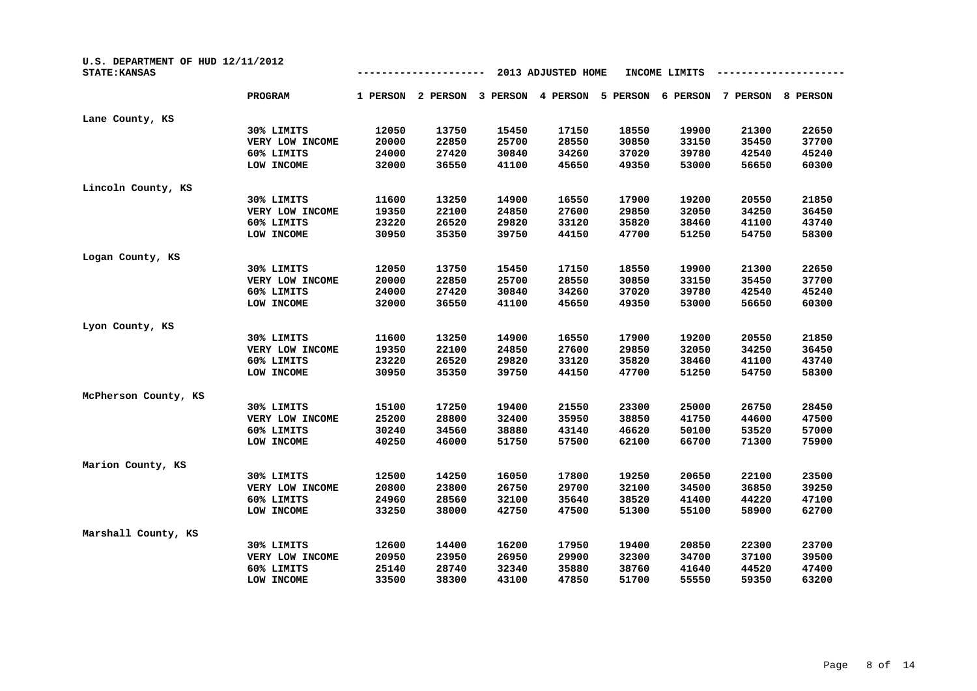| U.S. DEPARTMENT OF HUD 12/11/2012<br><b>STATE: KANSAS</b> |                 | 2013 ADJUSTED HOME<br>INCOME LIMITS |          |          |          |          |          |          |          |
|-----------------------------------------------------------|-----------------|-------------------------------------|----------|----------|----------|----------|----------|----------|----------|
|                                                           | <b>PROGRAM</b>  | 1 PERSON                            | 2 PERSON | 3 PERSON | 4 PERSON | 5 PERSON | 6 PERSON | 7 PERSON | 8 PERSON |
| Lane County, KS                                           |                 |                                     |          |          |          |          |          |          |          |
|                                                           | 30% LIMITS      | 12050                               | 13750    | 15450    | 17150    | 18550    | 19900    | 21300    | 22650    |
|                                                           | VERY LOW INCOME | 20000                               | 22850    | 25700    | 28550    | 30850    | 33150    | 35450    | 37700    |
|                                                           | 60% LIMITS      | 24000                               | 27420    | 30840    | 34260    | 37020    | 39780    | 42540    | 45240    |
|                                                           | LOW INCOME      | 32000                               | 36550    | 41100    | 45650    | 49350    | 53000    | 56650    | 60300    |
| Lincoln County, KS                                        |                 |                                     |          |          |          |          |          |          |          |
|                                                           | 30% LIMITS      | 11600                               | 13250    | 14900    | 16550    | 17900    | 19200    | 20550    | 21850    |
|                                                           | VERY LOW INCOME | 19350                               | 22100    | 24850    | 27600    | 29850    | 32050    | 34250    | 36450    |
|                                                           | 60% LIMITS      | 23220                               | 26520    | 29820    | 33120    | 35820    | 38460    | 41100    | 43740    |
|                                                           | LOW INCOME      | 30950                               | 35350    | 39750    | 44150    | 47700    | 51250    | 54750    | 58300    |
| Logan County, KS                                          |                 |                                     |          |          |          |          |          |          |          |
|                                                           | 30% LIMITS      | 12050                               | 13750    | 15450    | 17150    | 18550    | 19900    | 21300    | 22650    |
|                                                           | VERY LOW INCOME | 20000                               | 22850    | 25700    | 28550    | 30850    | 33150    | 35450    | 37700    |
|                                                           | 60% LIMITS      | 24000                               | 27420    | 30840    | 34260    | 37020    | 39780    | 42540    | 45240    |
|                                                           | LOW INCOME      | 32000                               | 36550    | 41100    | 45650    | 49350    | 53000    | 56650    | 60300    |
| Lyon County, KS                                           |                 |                                     |          |          |          |          |          |          |          |
|                                                           | 30% LIMITS      | 11600                               | 13250    | 14900    | 16550    | 17900    | 19200    | 20550    | 21850    |
|                                                           | VERY LOW INCOME | 19350                               | 22100    | 24850    | 27600    | 29850    | 32050    | 34250    | 36450    |
|                                                           | 60% LIMITS      | 23220                               | 26520    | 29820    | 33120    | 35820    | 38460    | 41100    | 43740    |
|                                                           | LOW INCOME      | 30950                               | 35350    | 39750    | 44150    | 47700    | 51250    | 54750    | 58300    |
| McPherson County, KS                                      |                 |                                     |          |          |          |          |          |          |          |
|                                                           | 30% LIMITS      | 15100                               | 17250    | 19400    | 21550    | 23300    | 25000    | 26750    | 28450    |
|                                                           | VERY LOW INCOME | 25200                               | 28800    | 32400    | 35950    | 38850    | 41750    | 44600    | 47500    |
|                                                           | 60% LIMITS      | 30240                               | 34560    | 38880    | 43140    | 46620    | 50100    | 53520    | 57000    |
|                                                           | LOW INCOME      | 40250                               | 46000    | 51750    | 57500    | 62100    | 66700    | 71300    | 75900    |
| Marion County, KS                                         |                 |                                     |          |          |          |          |          |          |          |
|                                                           | 30% LIMITS      | 12500                               | 14250    | 16050    | 17800    | 19250    | 20650    | 22100    | 23500    |
|                                                           | VERY LOW INCOME | 20800                               | 23800    | 26750    | 29700    | 32100    | 34500    | 36850    | 39250    |
|                                                           | 60% LIMITS      | 24960                               | 28560    | 32100    | 35640    | 38520    | 41400    | 44220    | 47100    |
|                                                           | LOW INCOME      | 33250                               | 38000    | 42750    | 47500    | 51300    | 55100    | 58900    | 62700    |
| Marshall County, KS                                       |                 |                                     |          |          |          |          |          |          |          |
|                                                           | 30% LIMITS      | 12600                               | 14400    | 16200    | 17950    | 19400    | 20850    | 22300    | 23700    |
|                                                           | VERY LOW INCOME | 20950                               | 23950    | 26950    | 29900    | 32300    | 34700    | 37100    | 39500    |
|                                                           | 60% LIMITS      | 25140                               | 28740    | 32340    | 35880    | 38760    | 41640    | 44520    | 47400    |
|                                                           | LOW INCOME      | 33500                               | 38300    | 43100    | 47850    | 51700    | 55550    | 59350    | 63200    |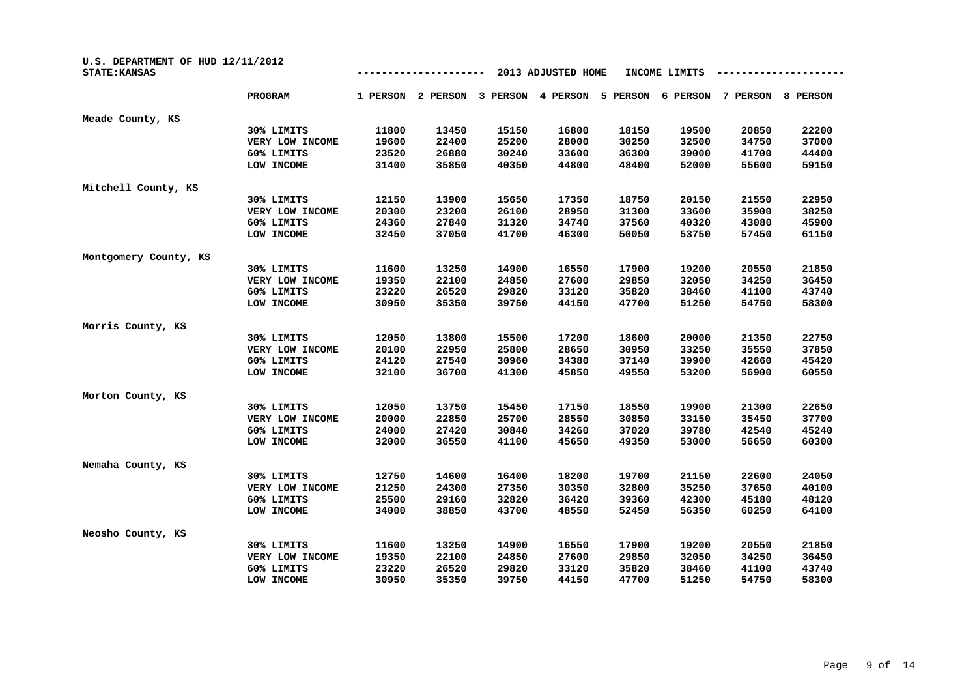| U.S. DEPARTMENT OF HUD 12/11/2012<br><b>STATE: KANSAS</b> |                 |          |          |          | 2013 ADJUSTED HOME |          | INCOME LIMITS |          |                 |
|-----------------------------------------------------------|-----------------|----------|----------|----------|--------------------|----------|---------------|----------|-----------------|
|                                                           | <b>PROGRAM</b>  | 1 PERSON | 2 PERSON | 3 PERSON | 4 PERSON           | 5 PERSON | 6 PERSON      | 7 PERSON | <b>8 PERSON</b> |
| Meade County, KS                                          |                 |          |          |          |                    |          |               |          |                 |
|                                                           | 30% LIMITS      | 11800    | 13450    | 15150    | 16800              | 18150    | 19500         | 20850    | 22200           |
|                                                           | VERY LOW INCOME | 19600    | 22400    | 25200    | 28000              | 30250    | 32500         | 34750    | 37000           |
|                                                           | 60% LIMITS      | 23520    | 26880    | 30240    | 33600              | 36300    | 39000         | 41700    | 44400           |
|                                                           | LOW INCOME      | 31400    | 35850    | 40350    | 44800              | 48400    | 52000         | 55600    | 59150           |
| Mitchell County, KS                                       |                 |          |          |          |                    |          |               |          |                 |
|                                                           | 30% LIMITS      | 12150    | 13900    | 15650    | 17350              | 18750    | 20150         | 21550    | 22950           |
|                                                           | VERY LOW INCOME | 20300    | 23200    | 26100    | 28950              | 31300    | 33600         | 35900    | 38250           |
|                                                           | 60% LIMITS      | 24360    | 27840    | 31320    | 34740              | 37560    | 40320         | 43080    | 45900           |
|                                                           | LOW INCOME      | 32450    | 37050    | 41700    | 46300              | 50050    | 53750         | 57450    | 61150           |
| Montgomery County, KS                                     |                 |          |          |          |                    |          |               |          |                 |
|                                                           | 30% LIMITS      | 11600    | 13250    | 14900    | 16550              | 17900    | 19200         | 20550    | 21850           |
|                                                           | VERY LOW INCOME | 19350    | 22100    | 24850    | 27600              | 29850    | 32050         | 34250    | 36450           |
|                                                           | 60% LIMITS      | 23220    | 26520    | 29820    | 33120              | 35820    | 38460         | 41100    | 43740           |
|                                                           | LOW INCOME      | 30950    | 35350    | 39750    | 44150              | 47700    | 51250         | 54750    | 58300           |
| Morris County, KS                                         |                 |          |          |          |                    |          |               |          |                 |
|                                                           | 30% LIMITS      | 12050    | 13800    | 15500    | 17200              | 18600    | 20000         | 21350    | 22750           |
|                                                           | VERY LOW INCOME | 20100    | 22950    | 25800    | 28650              | 30950    | 33250         | 35550    | 37850           |
|                                                           | 60% LIMITS      | 24120    | 27540    | 30960    | 34380              | 37140    | 39900         | 42660    | 45420           |
|                                                           | LOW INCOME      | 32100    | 36700    | 41300    | 45850              | 49550    | 53200         | 56900    | 60550           |
| Morton County, KS                                         |                 |          |          |          |                    |          |               |          |                 |
|                                                           | 30% LIMITS      | 12050    | 13750    | 15450    | 17150              | 18550    | 19900         | 21300    | 22650           |
|                                                           | VERY LOW INCOME | 20000    | 22850    | 25700    | 28550              | 30850    | 33150         | 35450    | 37700           |
|                                                           | 60% LIMITS      | 24000    | 27420    | 30840    | 34260              | 37020    | 39780         | 42540    | 45240           |
|                                                           | LOW INCOME      | 32000    | 36550    | 41100    | 45650              | 49350    | 53000         | 56650    | 60300           |
| Nemaha County, KS                                         |                 |          |          |          |                    |          |               |          |                 |
|                                                           | 30% LIMITS      | 12750    | 14600    | 16400    | 18200              | 19700    | 21150         | 22600    | 24050           |
|                                                           | VERY LOW INCOME | 21250    | 24300    | 27350    | 30350              | 32800    | 35250         | 37650    | 40100           |
|                                                           | 60% LIMITS      | 25500    | 29160    | 32820    | 36420              | 39360    | 42300         | 45180    | 48120           |
|                                                           | LOW INCOME      | 34000    | 38850    | 43700    | 48550              | 52450    | 56350         | 60250    | 64100           |
| Neosho County, KS                                         |                 |          |          |          |                    |          |               |          |                 |
|                                                           | 30% LIMITS      | 11600    | 13250    | 14900    | 16550              | 17900    | 19200         | 20550    | 21850           |
|                                                           | VERY LOW INCOME | 19350    | 22100    | 24850    | 27600              | 29850    | 32050         | 34250    | 36450           |
|                                                           | 60% LIMITS      | 23220    | 26520    | 29820    | 33120              | 35820    | 38460         | 41100    | 43740           |
|                                                           | LOW INCOME      | 30950    | 35350    | 39750    | 44150              | 47700    | 51250         | 54750    | 58300           |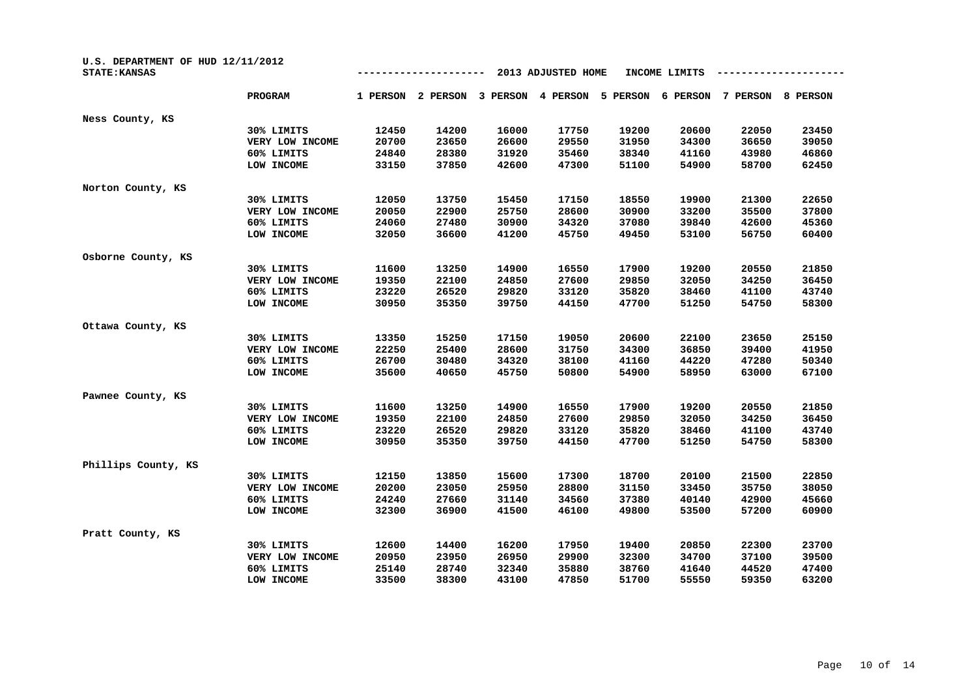| U.S. DEPARTMENT OF HUD 12/11/2012<br><b>STATE: KANSAS</b> |                 | 2013 ADJUSTED HOME<br>INCOME LIMITS |          |          |          |          |          |          |          |
|-----------------------------------------------------------|-----------------|-------------------------------------|----------|----------|----------|----------|----------|----------|----------|
|                                                           | <b>PROGRAM</b>  | 1 PERSON                            | 2 PERSON | 3 PERSON | 4 PERSON | 5 PERSON | 6 PERSON | 7 PERSON | 8 PERSON |
| Ness County, KS                                           |                 |                                     |          |          |          |          |          |          |          |
|                                                           | 30% LIMITS      | 12450                               | 14200    | 16000    | 17750    | 19200    | 20600    | 22050    | 23450    |
|                                                           | VERY LOW INCOME | 20700                               | 23650    | 26600    | 29550    | 31950    | 34300    | 36650    | 39050    |
|                                                           | 60% LIMITS      | 24840                               | 28380    | 31920    | 35460    | 38340    | 41160    | 43980    | 46860    |
|                                                           | LOW INCOME      | 33150                               | 37850    | 42600    | 47300    | 51100    | 54900    | 58700    | 62450    |
| Norton County, KS                                         |                 |                                     |          |          |          |          |          |          |          |
|                                                           | 30% LIMITS      | 12050                               | 13750    | 15450    | 17150    | 18550    | 19900    | 21300    | 22650    |
|                                                           | VERY LOW INCOME | 20050                               | 22900    | 25750    | 28600    | 30900    | 33200    | 35500    | 37800    |
|                                                           | 60% LIMITS      | 24060                               | 27480    | 30900    | 34320    | 37080    | 39840    | 42600    | 45360    |
|                                                           | LOW INCOME      | 32050                               | 36600    | 41200    | 45750    | 49450    | 53100    | 56750    | 60400    |
| Osborne County, KS                                        |                 |                                     |          |          |          |          |          |          |          |
|                                                           | 30% LIMITS      | 11600                               | 13250    | 14900    | 16550    | 17900    | 19200    | 20550    | 21850    |
|                                                           | VERY LOW INCOME | 19350                               | 22100    | 24850    | 27600    | 29850    | 32050    | 34250    | 36450    |
|                                                           | 60% LIMITS      | 23220                               | 26520    | 29820    | 33120    | 35820    | 38460    | 41100    | 43740    |
|                                                           | LOW INCOME      | 30950                               | 35350    | 39750    | 44150    | 47700    | 51250    | 54750    | 58300    |
| Ottawa County, KS                                         |                 |                                     |          |          |          |          |          |          |          |
|                                                           | 30% LIMITS      | 13350                               | 15250    | 17150    | 19050    | 20600    | 22100    | 23650    | 25150    |
|                                                           | VERY LOW INCOME | 22250                               | 25400    | 28600    | 31750    | 34300    | 36850    | 39400    | 41950    |
|                                                           | 60% LIMITS      | 26700                               | 30480    | 34320    | 38100    | 41160    | 44220    | 47280    | 50340    |
|                                                           | LOW INCOME      | 35600                               | 40650    | 45750    | 50800    | 54900    | 58950    | 63000    | 67100    |
| Pawnee County, KS                                         |                 |                                     |          |          |          |          |          |          |          |
|                                                           | 30% LIMITS      | 11600                               | 13250    | 14900    | 16550    | 17900    | 19200    | 20550    | 21850    |
|                                                           | VERY LOW INCOME | 19350                               | 22100    | 24850    | 27600    | 29850    | 32050    | 34250    | 36450    |
|                                                           | 60% LIMITS      | 23220                               | 26520    | 29820    | 33120    | 35820    | 38460    | 41100    | 43740    |
|                                                           | LOW INCOME      | 30950                               | 35350    | 39750    | 44150    | 47700    | 51250    | 54750    | 58300    |
| Phillips County, KS                                       |                 |                                     |          |          |          |          |          |          |          |
|                                                           | 30% LIMITS      | 12150                               | 13850    | 15600    | 17300    | 18700    | 20100    | 21500    | 22850    |
|                                                           | VERY LOW INCOME | 20200                               | 23050    | 25950    | 28800    | 31150    | 33450    | 35750    | 38050    |
|                                                           | 60% LIMITS      | 24240                               | 27660    | 31140    | 34560    | 37380    | 40140    | 42900    | 45660    |
|                                                           | LOW INCOME      | 32300                               | 36900    | 41500    | 46100    | 49800    | 53500    | 57200    | 60900    |
| Pratt County, KS                                          |                 |                                     |          |          |          |          |          |          |          |
|                                                           | 30% LIMITS      | 12600                               | 14400    | 16200    | 17950    | 19400    | 20850    | 22300    | 23700    |
|                                                           | VERY LOW INCOME | 20950                               | 23950    | 26950    | 29900    | 32300    | 34700    | 37100    | 39500    |
|                                                           | 60% LIMITS      | 25140                               | 28740    | 32340    | 35880    | 38760    | 41640    | 44520    | 47400    |
|                                                           | LOW INCOME      | 33500                               | 38300    | 43100    | 47850    | 51700    | 55550    | 59350    | 63200    |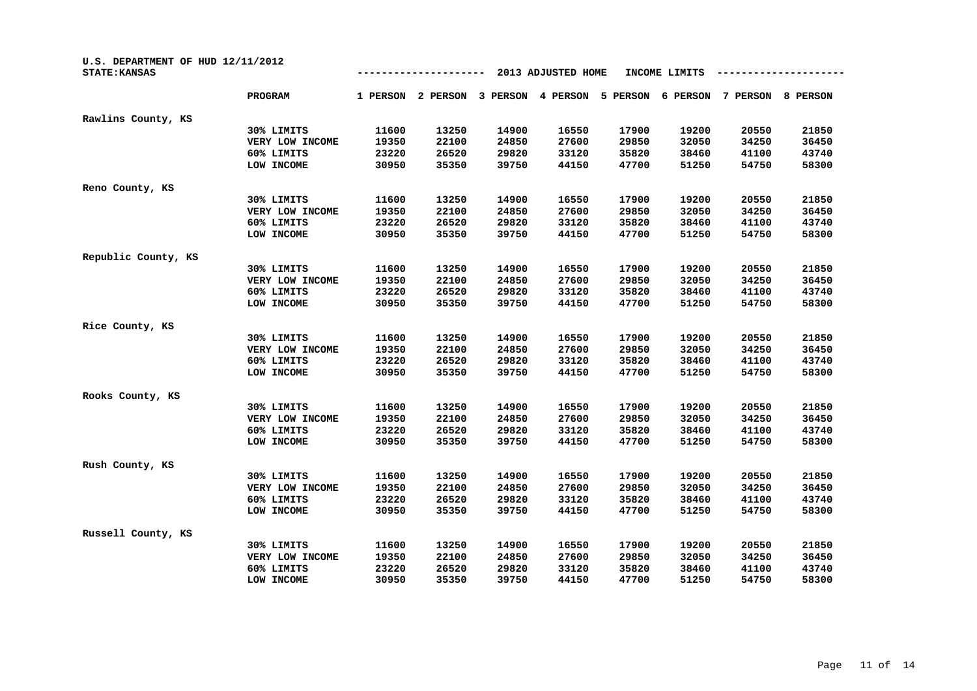| U.S. DEPARTMENT OF HUD 12/11/2012<br><b>STATE: KANSAS</b> |                 |          |          |          |          |          |          |          |          |
|-----------------------------------------------------------|-----------------|----------|----------|----------|----------|----------|----------|----------|----------|
|                                                           | <b>PROGRAM</b>  | 1 PERSON | 2 PERSON | 3 PERSON | 4 PERSON | 5 PERSON | 6 PERSON | 7 PERSON | 8 PERSON |
| Rawlins County, KS                                        |                 |          |          |          |          |          |          |          |          |
|                                                           | 30% LIMITS      | 11600    | 13250    | 14900    | 16550    | 17900    | 19200    | 20550    | 21850    |
|                                                           | VERY LOW INCOME | 19350    | 22100    | 24850    | 27600    | 29850    | 32050    | 34250    | 36450    |
|                                                           | 60% LIMITS      | 23220    | 26520    | 29820    | 33120    | 35820    | 38460    | 41100    | 43740    |
|                                                           | LOW INCOME      | 30950    | 35350    | 39750    | 44150    | 47700    | 51250    | 54750    | 58300    |
| Reno County, KS                                           |                 |          |          |          |          |          |          |          |          |
|                                                           | 30% LIMITS      | 11600    | 13250    | 14900    | 16550    | 17900    | 19200    | 20550    | 21850    |
|                                                           | VERY LOW INCOME | 19350    | 22100    | 24850    | 27600    | 29850    | 32050    | 34250    | 36450    |
|                                                           | 60% LIMITS      | 23220    | 26520    | 29820    | 33120    | 35820    | 38460    | 41100    | 43740    |
|                                                           | LOW INCOME      | 30950    | 35350    | 39750    | 44150    | 47700    | 51250    | 54750    | 58300    |
| Republic County, KS                                       |                 |          |          |          |          |          |          |          |          |
|                                                           | 30% LIMITS      | 11600    | 13250    | 14900    | 16550    | 17900    | 19200    | 20550    | 21850    |
|                                                           | VERY LOW INCOME | 19350    | 22100    | 24850    | 27600    | 29850    | 32050    | 34250    | 36450    |
|                                                           | 60% LIMITS      | 23220    | 26520    | 29820    | 33120    | 35820    | 38460    | 41100    | 43740    |
|                                                           | LOW INCOME      | 30950    | 35350    | 39750    | 44150    | 47700    | 51250    | 54750    | 58300    |
| Rice County, KS                                           |                 |          |          |          |          |          |          |          |          |
|                                                           | 30% LIMITS      | 11600    | 13250    | 14900    | 16550    | 17900    | 19200    | 20550    | 21850    |
|                                                           | VERY LOW INCOME | 19350    | 22100    | 24850    | 27600    | 29850    | 32050    | 34250    | 36450    |
|                                                           | 60% LIMITS      | 23220    | 26520    | 29820    | 33120    | 35820    | 38460    | 41100    | 43740    |
|                                                           | LOW INCOME      | 30950    | 35350    | 39750    | 44150    | 47700    | 51250    | 54750    | 58300    |
| Rooks County, KS                                          |                 |          |          |          |          |          |          |          |          |
|                                                           | 30% LIMITS      | 11600    | 13250    | 14900    | 16550    | 17900    | 19200    | 20550    | 21850    |
|                                                           | VERY LOW INCOME | 19350    | 22100    | 24850    | 27600    | 29850    | 32050    | 34250    | 36450    |
|                                                           | 60% LIMITS      | 23220    | 26520    | 29820    | 33120    | 35820    | 38460    | 41100    | 43740    |
|                                                           | LOW INCOME      | 30950    | 35350    | 39750    | 44150    | 47700    | 51250    | 54750    | 58300    |
| Rush County, KS                                           |                 |          |          |          |          |          |          |          |          |
|                                                           | 30% LIMITS      | 11600    | 13250    | 14900    | 16550    | 17900    | 19200    | 20550    | 21850    |
|                                                           | VERY LOW INCOME | 19350    | 22100    | 24850    | 27600    | 29850    | 32050    | 34250    | 36450    |
|                                                           | 60% LIMITS      | 23220    | 26520    | 29820    | 33120    | 35820    | 38460    | 41100    | 43740    |
|                                                           | LOW INCOME      | 30950    | 35350    | 39750    | 44150    | 47700    | 51250    | 54750    | 58300    |
| Russell County, KS                                        |                 |          |          |          |          |          |          |          |          |
|                                                           | 30% LIMITS      | 11600    | 13250    | 14900    | 16550    | 17900    | 19200    | 20550    | 21850    |
|                                                           | VERY LOW INCOME | 19350    | 22100    | 24850    | 27600    | 29850    | 32050    | 34250    | 36450    |
|                                                           | 60% LIMITS      | 23220    | 26520    | 29820    | 33120    | 35820    | 38460    | 41100    | 43740    |
|                                                           | LOW INCOME      | 30950    | 35350    | 39750    | 44150    | 47700    | 51250    | 54750    | 58300    |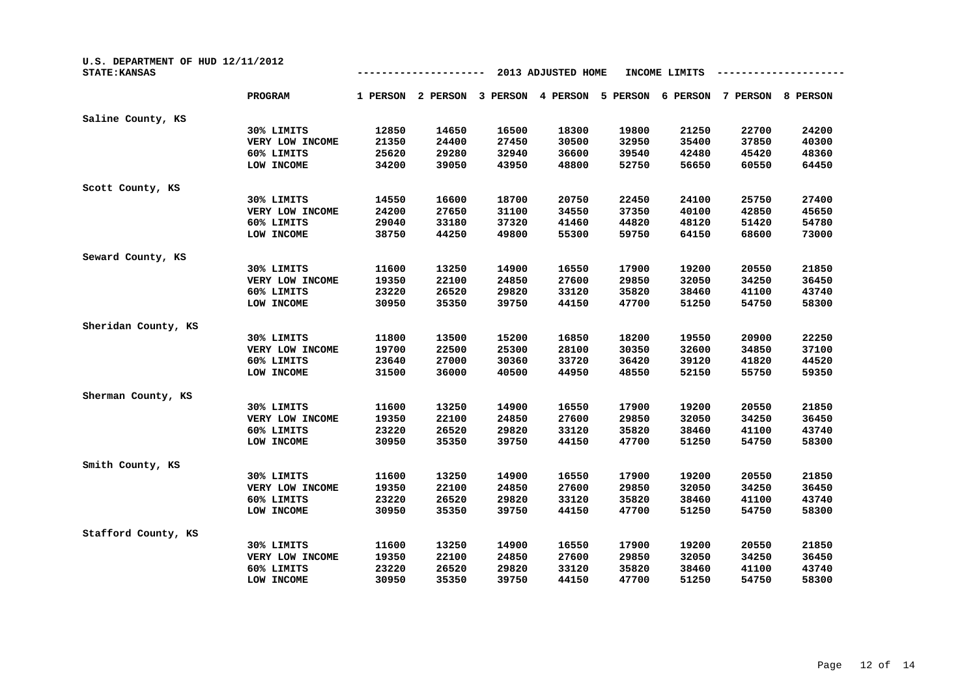| U.S. DEPARTMENT OF HUD 12/11/2012<br><b>STATE: KANSAS</b> |                 |          |          |          | 2013 ADJUSTED HOME |          | INCOME LIMITS |          |          |
|-----------------------------------------------------------|-----------------|----------|----------|----------|--------------------|----------|---------------|----------|----------|
|                                                           | <b>PROGRAM</b>  | 1 PERSON | 2 PERSON | 3 PERSON | 4 PERSON           | 5 PERSON | 6 PERSON      | 7 PERSON | 8 PERSON |
| Saline County, KS                                         |                 |          |          |          |                    |          |               |          |          |
|                                                           | 30% LIMITS      | 12850    | 14650    | 16500    | 18300              | 19800    | 21250         | 22700    | 24200    |
|                                                           | VERY LOW INCOME | 21350    | 24400    | 27450    | 30500              | 32950    | 35400         | 37850    | 40300    |
|                                                           | 60% LIMITS      | 25620    | 29280    | 32940    | 36600              | 39540    | 42480         | 45420    | 48360    |
|                                                           | LOW INCOME      | 34200    | 39050    | 43950    | 48800              | 52750    | 56650         | 60550    | 64450    |
| Scott County, KS                                          |                 |          |          |          |                    |          |               |          |          |
|                                                           | 30% LIMITS      | 14550    | 16600    | 18700    | 20750              | 22450    | 24100         | 25750    | 27400    |
|                                                           | VERY LOW INCOME | 24200    | 27650    | 31100    | 34550              | 37350    | 40100         | 42850    | 45650    |
|                                                           | 60% LIMITS      | 29040    | 33180    | 37320    | 41460              | 44820    | 48120         | 51420    | 54780    |
|                                                           | LOW INCOME      | 38750    | 44250    | 49800    | 55300              | 59750    | 64150         | 68600    | 73000    |
| Seward County, KS                                         |                 |          |          |          |                    |          |               |          |          |
|                                                           | 30% LIMITS      | 11600    | 13250    | 14900    | 16550              | 17900    | 19200         | 20550    | 21850    |
|                                                           | VERY LOW INCOME | 19350    | 22100    | 24850    | 27600              | 29850    | 32050         | 34250    | 36450    |
|                                                           | 60% LIMITS      | 23220    | 26520    | 29820    | 33120              | 35820    | 38460         | 41100    | 43740    |
|                                                           | LOW INCOME      | 30950    | 35350    | 39750    | 44150              | 47700    | 51250         | 54750    | 58300    |
| Sheridan County, KS                                       |                 |          |          |          |                    |          |               |          |          |
|                                                           | 30% LIMITS      | 11800    | 13500    | 15200    | 16850              | 18200    | 19550         | 20900    | 22250    |
|                                                           | VERY LOW INCOME | 19700    | 22500    | 25300    | 28100              | 30350    | 32600         | 34850    | 37100    |
|                                                           | 60% LIMITS      | 23640    | 27000    | 30360    | 33720              | 36420    | 39120         | 41820    | 44520    |
|                                                           | LOW INCOME      | 31500    | 36000    | 40500    | 44950              | 48550    | 52150         | 55750    | 59350    |
| Sherman County, KS                                        |                 |          |          |          |                    |          |               |          |          |
|                                                           | 30% LIMITS      | 11600    | 13250    | 14900    | 16550              | 17900    | 19200         | 20550    | 21850    |
|                                                           | VERY LOW INCOME | 19350    | 22100    | 24850    | 27600              | 29850    | 32050         | 34250    | 36450    |
|                                                           | 60% LIMITS      | 23220    | 26520    | 29820    | 33120              | 35820    | 38460         | 41100    | 43740    |
|                                                           | LOW INCOME      | 30950    | 35350    | 39750    | 44150              | 47700    | 51250         | 54750    | 58300    |
| Smith County, KS                                          |                 |          |          |          |                    |          |               |          |          |
|                                                           | 30% LIMITS      | 11600    | 13250    | 14900    | 16550              | 17900    | 19200         | 20550    | 21850    |
|                                                           | VERY LOW INCOME | 19350    | 22100    | 24850    | 27600              | 29850    | 32050         | 34250    | 36450    |
|                                                           | 60% LIMITS      | 23220    | 26520    | 29820    | 33120              | 35820    | 38460         | 41100    | 43740    |
|                                                           | LOW INCOME      | 30950    | 35350    | 39750    | 44150              | 47700    | 51250         | 54750    | 58300    |
| Stafford County, KS                                       |                 |          |          |          |                    |          |               |          |          |
|                                                           | 30% LIMITS      | 11600    | 13250    | 14900    | 16550              | 17900    | 19200         | 20550    | 21850    |
|                                                           | VERY LOW INCOME | 19350    | 22100    | 24850    | 27600              | 29850    | 32050         | 34250    | 36450    |
|                                                           | 60% LIMITS      | 23220    | 26520    | 29820    | 33120              | 35820    | 38460         | 41100    | 43740    |
|                                                           | LOW INCOME      | 30950    | 35350    | 39750    | 44150              | 47700    | 51250         | 54750    | 58300    |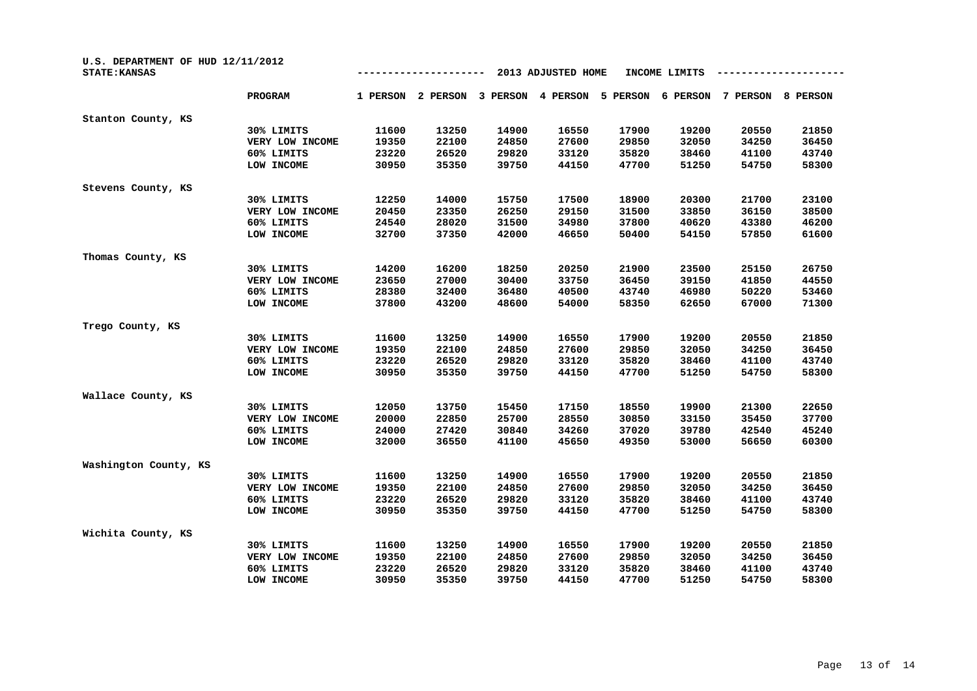| U.S. DEPARTMENT OF HUD 12/11/2012<br><b>STATE: KANSAS</b> |                 | 2013 ADJUSTED HOME<br>INCOME LIMITS |          |          |          |          |          |          |          |
|-----------------------------------------------------------|-----------------|-------------------------------------|----------|----------|----------|----------|----------|----------|----------|
|                                                           | <b>PROGRAM</b>  | 1 PERSON                            | 2 PERSON | 3 PERSON | 4 PERSON | 5 PERSON | 6 PERSON | 7 PERSON | 8 PERSON |
| Stanton County, KS                                        |                 |                                     |          |          |          |          |          |          |          |
|                                                           | 30% LIMITS      | 11600                               | 13250    | 14900    | 16550    | 17900    | 19200    | 20550    | 21850    |
|                                                           | VERY LOW INCOME | 19350                               | 22100    | 24850    | 27600    | 29850    | 32050    | 34250    | 36450    |
|                                                           | 60% LIMITS      | 23220                               | 26520    | 29820    | 33120    | 35820    | 38460    | 41100    | 43740    |
|                                                           | LOW INCOME      | 30950                               | 35350    | 39750    | 44150    | 47700    | 51250    | 54750    | 58300    |
| Stevens County, KS                                        |                 |                                     |          |          |          |          |          |          |          |
|                                                           | 30% LIMITS      | 12250                               | 14000    | 15750    | 17500    | 18900    | 20300    | 21700    | 23100    |
|                                                           | VERY LOW INCOME | 20450                               | 23350    | 26250    | 29150    | 31500    | 33850    | 36150    | 38500    |
|                                                           | 60% LIMITS      | 24540                               | 28020    | 31500    | 34980    | 37800    | 40620    | 43380    | 46200    |
|                                                           | LOW INCOME      | 32700                               | 37350    | 42000    | 46650    | 50400    | 54150    | 57850    | 61600    |
| Thomas County, KS                                         |                 |                                     |          |          |          |          |          |          |          |
|                                                           | 30% LIMITS      | 14200                               | 16200    | 18250    | 20250    | 21900    | 23500    | 25150    | 26750    |
|                                                           | VERY LOW INCOME | 23650                               | 27000    | 30400    | 33750    | 36450    | 39150    | 41850    | 44550    |
|                                                           | 60% LIMITS      | 28380                               | 32400    | 36480    | 40500    | 43740    | 46980    | 50220    | 53460    |
|                                                           | LOW INCOME      | 37800                               | 43200    | 48600    | 54000    | 58350    | 62650    | 67000    | 71300    |
| Trego County, KS                                          |                 |                                     |          |          |          |          |          |          |          |
|                                                           | 30% LIMITS      | 11600                               | 13250    | 14900    | 16550    | 17900    | 19200    | 20550    | 21850    |
|                                                           | VERY LOW INCOME | 19350                               | 22100    | 24850    | 27600    | 29850    | 32050    | 34250    | 36450    |
|                                                           | 60% LIMITS      | 23220                               | 26520    | 29820    | 33120    | 35820    | 38460    | 41100    | 43740    |
|                                                           | LOW INCOME      | 30950                               | 35350    | 39750    | 44150    | 47700    | 51250    | 54750    | 58300    |
| Wallace County, KS                                        |                 |                                     |          |          |          |          |          |          |          |
|                                                           | 30% LIMITS      | 12050                               | 13750    | 15450    | 17150    | 18550    | 19900    | 21300    | 22650    |
|                                                           | VERY LOW INCOME | 20000                               | 22850    | 25700    | 28550    | 30850    | 33150    | 35450    | 37700    |
|                                                           | 60% LIMITS      | 24000                               | 27420    | 30840    | 34260    | 37020    | 39780    | 42540    | 45240    |
|                                                           | LOW INCOME      | 32000                               | 36550    | 41100    | 45650    | 49350    | 53000    | 56650    | 60300    |
| Washington County, KS                                     |                 |                                     |          |          |          |          |          |          |          |
|                                                           | 30% LIMITS      | 11600                               | 13250    | 14900    | 16550    | 17900    | 19200    | 20550    | 21850    |
|                                                           | VERY LOW INCOME | 19350                               | 22100    | 24850    | 27600    | 29850    | 32050    | 34250    | 36450    |
|                                                           | 60% LIMITS      | 23220                               | 26520    | 29820    | 33120    | 35820    | 38460    | 41100    | 43740    |
|                                                           | LOW INCOME      | 30950                               | 35350    | 39750    | 44150    | 47700    | 51250    | 54750    | 58300    |
| Wichita County, KS                                        |                 |                                     |          |          |          |          |          |          |          |
|                                                           | 30% LIMITS      | 11600                               | 13250    | 14900    | 16550    | 17900    | 19200    | 20550    | 21850    |
|                                                           | VERY LOW INCOME | 19350                               | 22100    | 24850    | 27600    | 29850    | 32050    | 34250    | 36450    |
|                                                           | 60% LIMITS      | 23220                               | 26520    | 29820    | 33120    | 35820    | 38460    | 41100    | 43740    |
|                                                           | LOW INCOME      | 30950                               | 35350    | 39750    | 44150    | 47700    | 51250    | 54750    | 58300    |